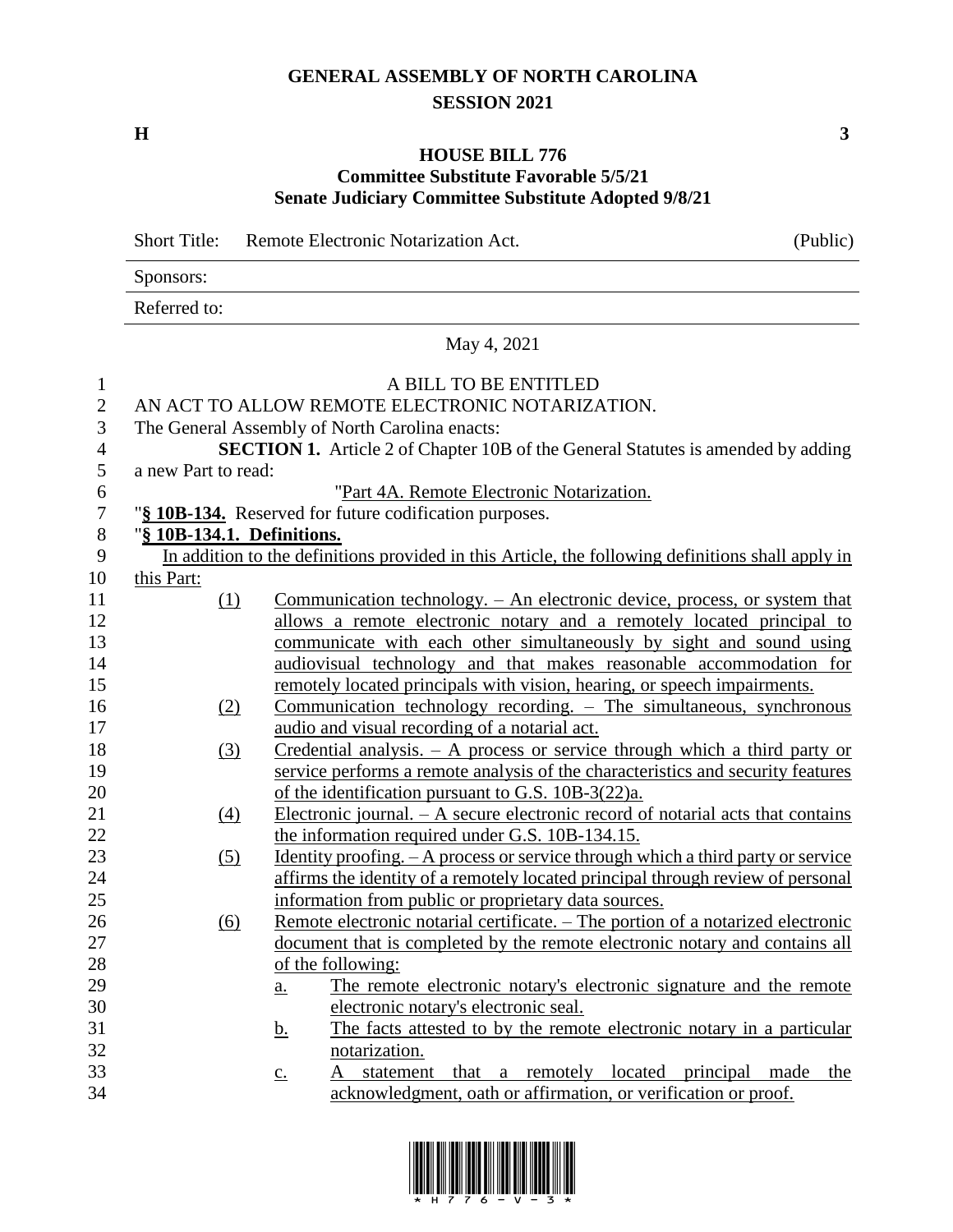## **GENERAL ASSEMBLY OF NORTH CAROLINA SESSION 2021**

**H 3**

### **HOUSE BILL 776 Committee Substitute Favorable 5/5/21 Senate Judiciary Committee Substitute Adopted 9/8/21**

|                  | <b>Short Title:</b>        | Remote Electronic Notarization Act.                                                               | (Public)                                 |
|------------------|----------------------------|---------------------------------------------------------------------------------------------------|------------------------------------------|
|                  | Sponsors:                  |                                                                                                   |                                          |
|                  | Referred to:               |                                                                                                   |                                          |
|                  |                            | May 4, 2021                                                                                       |                                          |
| $\mathbf{1}$     |                            | A BILL TO BE ENTITLED                                                                             |                                          |
| $\mathbf{2}$     |                            | AN ACT TO ALLOW REMOTE ELECTRONIC NOTARIZATION.                                                   |                                          |
| 3                |                            | The General Assembly of North Carolina enacts:                                                    |                                          |
| 4                |                            | <b>SECTION 1.</b> Article 2 of Chapter 10B of the General Statutes is amended by adding           |                                          |
| 5                | a new Part to read:        |                                                                                                   |                                          |
| 6                |                            | "Part 4A. Remote Electronic Notarization.                                                         |                                          |
| $\boldsymbol{7}$ |                            | "§ 10B-134. Reserved for future codification purposes.                                            |                                          |
| $8\,$            | "§ 10B-134.1. Definitions. |                                                                                                   |                                          |
| 9                |                            | In addition to the definitions provided in this Article, the following definitions shall apply in |                                          |
| 10               | this Part:                 |                                                                                                   |                                          |
| 11               | (1)                        | <u>Communication technology. – An electronic device, process, or system that</u>                  |                                          |
| 12               |                            | allows a remote electronic notary and a remotely located principal to                             |                                          |
| 13               |                            | communicate with each other simultaneously by sight and sound using                               |                                          |
| 14               |                            | audiovisual technology and that makes reasonable accommodation for                                |                                          |
| 15               |                            | remotely located principals with vision, hearing, or speech impairments.                          |                                          |
| 16               | (2)                        | $Common$ technology recording. $-$ The simultaneous, synchronous                                  |                                          |
| 17               |                            | audio and visual recording of a notarial act.                                                     |                                          |
| 18               | (3)                        | Credential analysis. $- A$ process or service through which a third party or                      |                                          |
| 19               |                            | service performs a remote analysis of the characteristics and security features                   |                                          |
| 20               |                            | of the identification pursuant to G.S. 10B-3(22)a.                                                |                                          |
| 21               | (4)                        | Electronic journal. $- A$ secure electronic record of notarial acts that contains                 |                                          |
| 22               |                            | the information required under G.S. 10B-134.15.                                                   |                                          |
| 23               | (5)                        | <u>Identity proofing. - A process or service through which a third party or service</u>           |                                          |
| 24               |                            | affirms the identity of a remotely located principal through review of personal                   |                                          |
| 25               |                            | information from public or proprietary data sources.                                              |                                          |
| 26               | (6)                        | Remote electronic notarial certificate. - The portion of a notarized electronic                   |                                          |
| 27               |                            | document that is completed by the remote electronic notary and contains all                       |                                          |
| 28               |                            | of the following:                                                                                 |                                          |
| 29               |                            | The remote electronic notary's electronic signature and the remote<br>$\underline{\mathbf{a}}$ .  |                                          |
| 30               |                            | electronic notary's electronic seal.                                                              |                                          |
| 31               |                            | The facts attested to by the remote electronic notary in a particular<br><u>b.</u>                |                                          |
| 32               |                            | notarization.                                                                                     |                                          |
| 33               |                            | statement<br>that<br>А<br>$\underline{C}$ .                                                       | a remotely located principal made<br>the |
| 34               |                            | acknowledgment, oath or affirmation, or verification or proof.                                    |                                          |
|                  |                            |                                                                                                   |                                          |

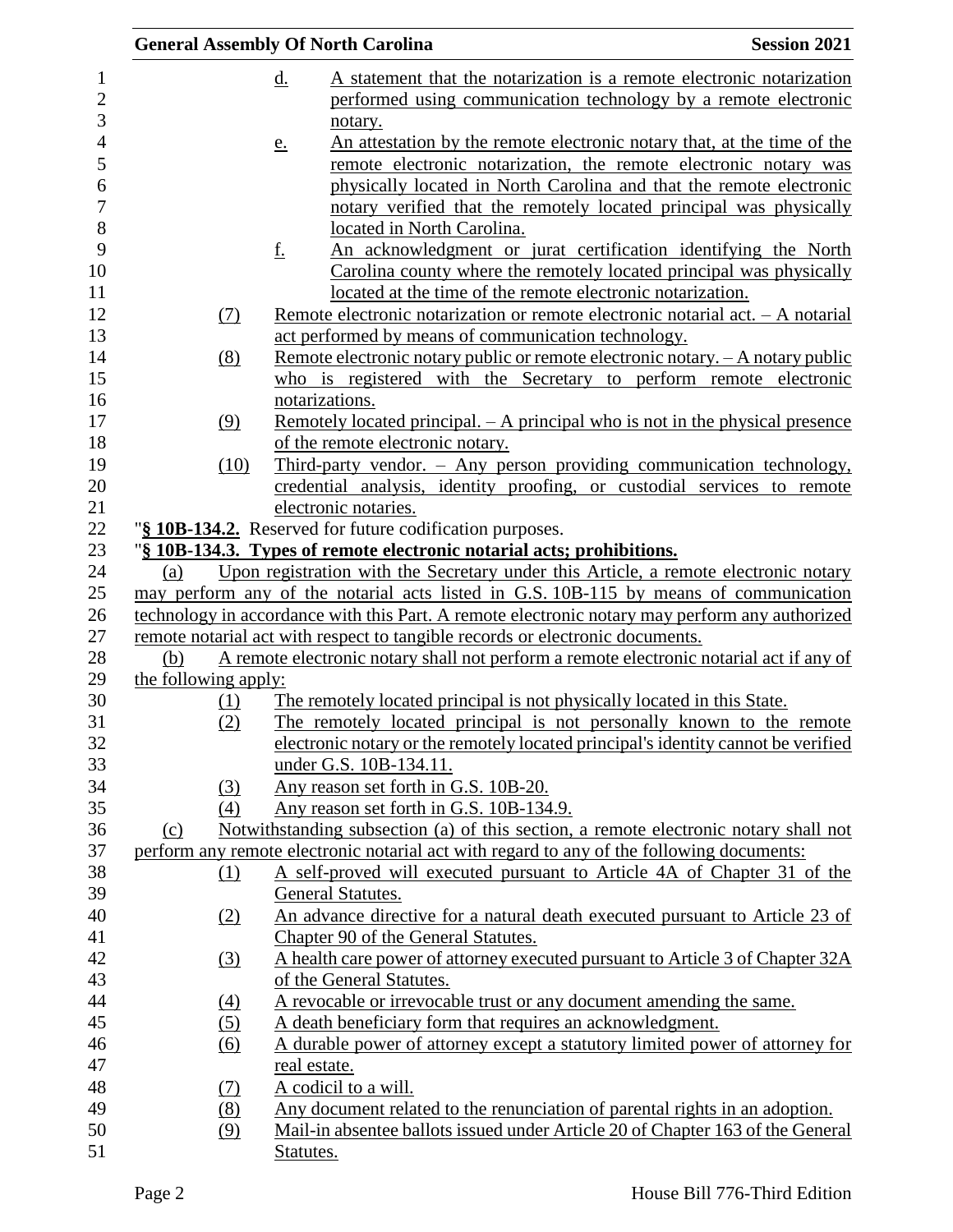|                      |                   | <b>General Assembly Of North Carolina</b>                                                                   | <b>Session 2021</b> |
|----------------------|-------------------|-------------------------------------------------------------------------------------------------------------|---------------------|
|                      |                   | A statement that the notarization is a remote electronic notarization<br><u>d.</u>                          |                     |
|                      |                   | performed using communication technology by a remote electronic                                             |                     |
|                      |                   | notary.                                                                                                     |                     |
|                      |                   | An attestation by the remote electronic notary that, at the time of the<br>e.                               |                     |
|                      |                   | remote electronic notarization, the remote electronic notary was                                            |                     |
|                      |                   | physically located in North Carolina and that the remote electronic                                         |                     |
|                      |                   | notary verified that the remotely located principal was physically                                          |                     |
|                      |                   | located in North Carolina.                                                                                  |                     |
|                      |                   | <u>f.</u><br>An acknowledgment or jurat certification identifying the North                                 |                     |
|                      |                   | Carolina county where the remotely located principal was physically                                         |                     |
|                      |                   | located at the time of the remote electronic notarization.                                                  |                     |
|                      | (7)               | <u>Remote electronic notarization or remote electronic notarial act. – A notarial</u>                       |                     |
|                      |                   | act performed by means of communication technology.                                                         |                     |
|                      | (8)               | Remote electronic notary public or remote electronic notary. - A notary public                              |                     |
|                      |                   | who is registered with the Secretary to perform remote electronic                                           |                     |
|                      |                   | notarizations.<br><u>Remotely located principal. – A principal who is not in the physical presence</u>      |                     |
|                      | (9)               | of the remote electronic notary.                                                                            |                     |
|                      | (10)              | Third-party vendor. - Any person providing communication technology,                                        |                     |
|                      |                   | credential analysis, identity proofing, or custodial services to remote                                     |                     |
|                      |                   | electronic notaries.                                                                                        |                     |
|                      |                   | "§ 10B-134.2. Reserved for future codification purposes.                                                    |                     |
|                      |                   | "§ 10B-134.3. Types of remote electronic notarial acts; prohibitions.                                       |                     |
| (a)                  |                   | Upon registration with the Secretary under this Article, a remote electronic notary                         |                     |
|                      |                   | may perform any of the notarial acts listed in G.S. 10B-115 by means of communication                       |                     |
|                      |                   | technology in accordance with this Part. A remote electronic notary may perform any authorized              |                     |
|                      |                   | remote notarial act with respect to tangible records or electronic documents.                               |                     |
| (b)                  |                   | A remote electronic notary shall not perform a remote electronic notarial act if any of                     |                     |
| the following apply: |                   |                                                                                                             |                     |
|                      | (1)               | The remotely located principal is not physically located in this State.                                     |                     |
|                      | (2)               | The remotely located principal is not personally known to the remote                                        |                     |
|                      |                   | electronic notary or the remotely located principal's identity cannot be verified<br>under G.S. 10B-134.11. |                     |
|                      | (3)               | Any reason set forth in G.S. 10B-20.                                                                        |                     |
|                      | (4)               | Any reason set forth in G.S. 10B-134.9.                                                                     |                     |
| (c)                  |                   | Notwithstanding subsection (a) of this section, a remote electronic notary shall not                        |                     |
|                      |                   | perform any remote electronic notarial act with regard to any of the following documents:                   |                     |
|                      | $\Omega$          | A self-proved will executed pursuant to Article 4A of Chapter 31 of the                                     |                     |
|                      |                   | General Statutes.                                                                                           |                     |
|                      | (2)               | An advance directive for a natural death executed pursuant to Article 23 of                                 |                     |
|                      |                   | Chapter 90 of the General Statutes.                                                                         |                     |
|                      | $\left(3\right)$  | A health care power of attorney executed pursuant to Article 3 of Chapter 32A                               |                     |
|                      |                   | of the General Statutes.                                                                                    |                     |
|                      | $\underline{(4)}$ | A revocable or irrevocable trust or any document amending the same.                                         |                     |
|                      | (5)               | A death beneficiary form that requires an acknowledgment.                                                   |                     |
|                      | $\underline{(6)}$ | A durable power of attorney except a statutory limited power of attorney for                                |                     |
|                      |                   | real estate.                                                                                                |                     |
|                      | (7)               | A codicil to a will.                                                                                        |                     |
|                      | (8)               | Any document related to the renunciation of parental rights in an adoption.                                 |                     |
|                      | (9)               | Mail-in absentee ballots issued under Article 20 of Chapter 163 of the General                              |                     |
|                      |                   | Statutes.                                                                                                   |                     |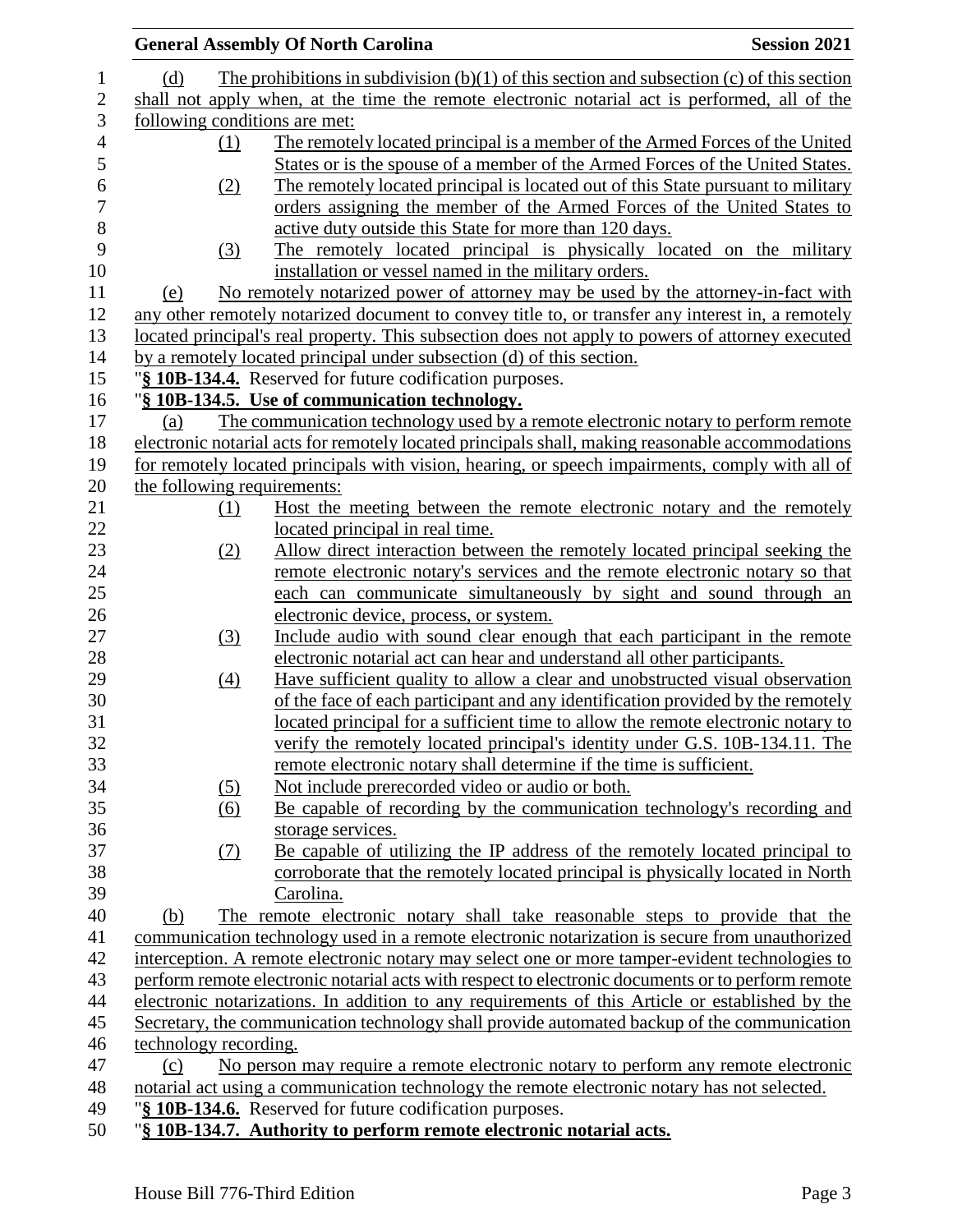|                               | <b>General Assembly Of North Carolina</b>                                                         | <b>Session 2021</b> |
|-------------------------------|---------------------------------------------------------------------------------------------------|---------------------|
| (d)                           | The prohibitions in subdivision $(b)(1)$ of this section and subsection $(c)$ of this section     |                     |
|                               | shall not apply when, at the time the remote electronic notarial act is performed, all of the     |                     |
| following conditions are met: |                                                                                                   |                     |
| (1)                           | The remotely located principal is a member of the Armed Forces of the United                      |                     |
|                               | States or is the spouse of a member of the Armed Forces of the United States.                     |                     |
| (2)                           | The remotely located principal is located out of this State pursuant to military                  |                     |
|                               | orders assigning the member of the Armed Forces of the United States to                           |                     |
|                               | active duty outside this State for more than 120 days.                                            |                     |
| (3)                           | The remotely located principal is physically located on the military                              |                     |
|                               | installation or vessel named in the military orders.                                              |                     |
| (e)                           | No remotely notarized power of attorney may be used by the attorney-in-fact with                  |                     |
|                               | any other remotely notarized document to convey title to, or transfer any interest in, a remotely |                     |
|                               | located principal's real property. This subsection does not apply to powers of attorney executed  |                     |
|                               | by a remotely located principal under subsection (d) of this section.                             |                     |
|                               | "§ 10B-134.4. Reserved for future codification purposes.                                          |                     |
|                               | "§ 10B-134.5. Use of communication technology.                                                    |                     |
| (a)                           | The communication technology used by a remote electronic notary to perform remote                 |                     |
|                               | electronic notarial acts for remotely located principals shall, making reasonable accommodations  |                     |
|                               | for remotely located principals with vision, hearing, or speech impairments, comply with all of   |                     |
| the following requirements:   |                                                                                                   |                     |
| (1)                           | Host the meeting between the remote electronic notary and the remotely                            |                     |
|                               | located principal in real time.                                                                   |                     |
| (2)                           | Allow direct interaction between the remotely located principal seeking the                       |                     |
|                               | remote electronic notary's services and the remote electronic notary so that                      |                     |
|                               | each can communicate simultaneously by sight and sound through an                                 |                     |
|                               | electronic device, process, or system.                                                            |                     |
| (3)                           | Include audio with sound clear enough that each participant in the remote                         |                     |
|                               | electronic notarial act can hear and understand all other participants.                           |                     |
| (4)                           | Have sufficient quality to allow a clear and unobstructed visual observation                      |                     |
|                               | of the face of each participant and any identification provided by the remotely                   |                     |
|                               | located principal for a sufficient time to allow the remote electronic notary to                  |                     |
|                               | verify the remotely located principal's identity under G.S. 10B-134.11. The                       |                     |
|                               | remote electronic notary shall determine if the time is sufficient.                               |                     |
|                               | Not include prerecorded video or audio or both.                                                   |                     |
| (5)                           | Be capable of recording by the communication technology's recording and                           |                     |
| (6)                           | storage services.                                                                                 |                     |
| (7)                           | Be capable of utilizing the IP address of the remotely located principal to                       |                     |
|                               | corroborate that the remotely located principal is physically located in North                    |                     |
|                               | Carolina.                                                                                         |                     |
|                               | The remote electronic notary shall take reasonable steps to provide that the                      |                     |
| (b)                           |                                                                                                   |                     |
|                               | communication technology used in a remote electronic notarization is secure from unauthorized     |                     |
|                               | interception. A remote electronic notary may select one or more tamper-evident technologies to    |                     |
|                               | perform remote electronic notarial acts with respect to electronic documents or to perform remote |                     |
|                               | electronic notarizations. In addition to any requirements of this Article or established by the   |                     |
|                               | Secretary, the communication technology shall provide automated backup of the communication       |                     |
| technology recording.         |                                                                                                   |                     |
| (c)                           | No person may require a remote electronic notary to perform any remote electronic                 |                     |
|                               | notarial act using a communication technology the remote electronic notary has not selected.      |                     |
|                               | "§ 10B-134.6. Reserved for future codification purposes.                                          |                     |
|                               | "§ 10B-134.7. Authority to perform remote electronic notarial acts.                               |                     |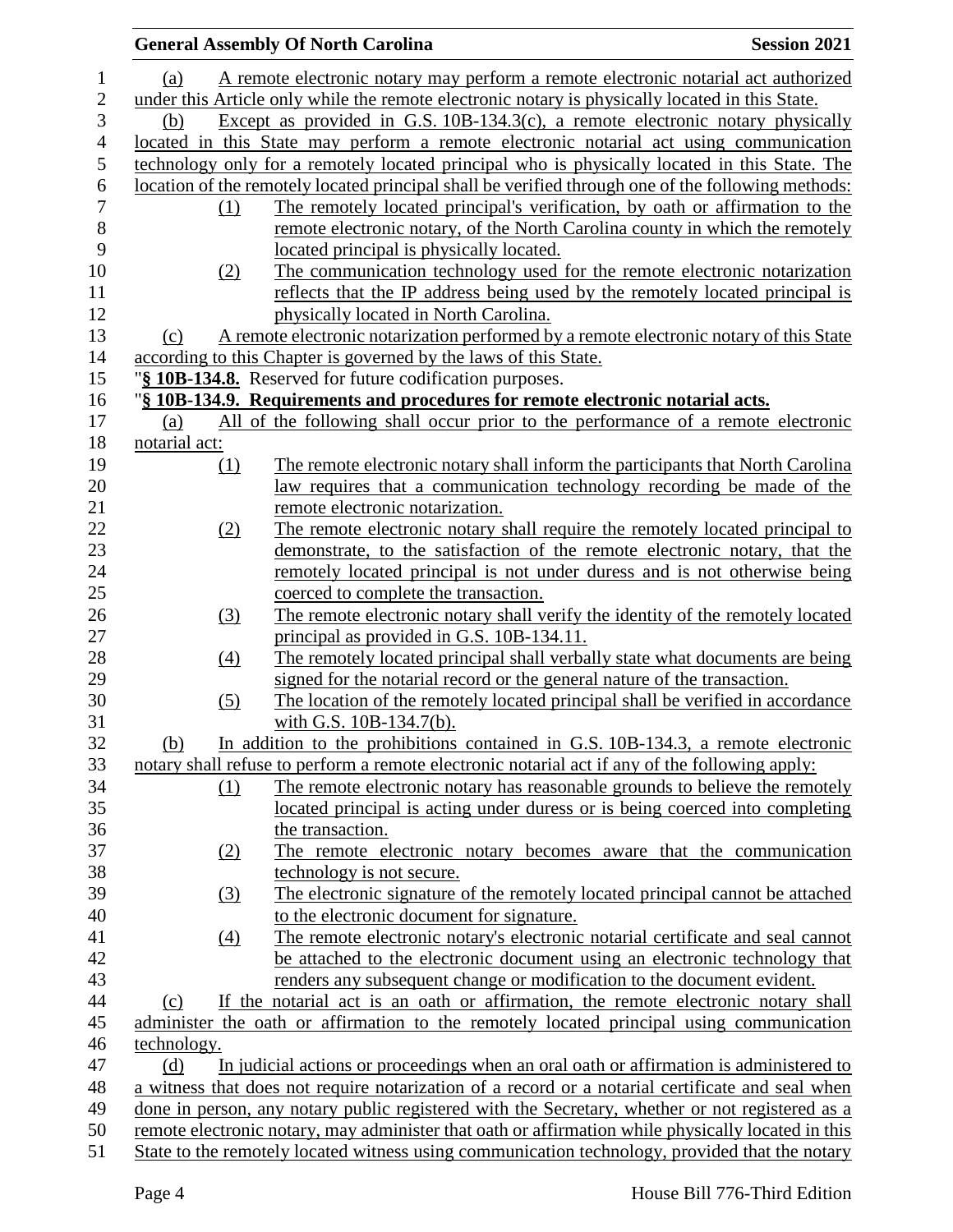|                          |                  | <b>General Assembly Of North Carolina</b>                                                          | <b>Session 2021</b> |
|--------------------------|------------------|----------------------------------------------------------------------------------------------------|---------------------|
| $\mathbf{1}$             | (a)              | A remote electronic notary may perform a remote electronic notarial act authorized                 |                     |
| $\overline{2}$           |                  | under this Article only while the remote electronic notary is physically located in this State.    |                     |
| $\mathfrak{Z}$           | (b)              | Except as provided in G.S. $10B-134.3(c)$ , a remote electronic notary physically                  |                     |
| $\overline{\mathcal{A}}$ |                  | located in this State may perform a remote electronic notarial act using communication             |                     |
| 5                        |                  | technology only for a remotely located principal who is physically located in this State. The      |                     |
| $\boldsymbol{6}$         |                  |                                                                                                    |                     |
| $\overline{7}$           |                  | location of the remotely located principal shall be verified through one of the following methods: |                     |
| 8                        | (1)              | The remotely located principal's verification, by oath or affirmation to the                       |                     |
| 9                        |                  | remote electronic notary, of the North Carolina county in which the remotely                       |                     |
|                          |                  | located principal is physically located.                                                           |                     |
| 10                       | (2)              | The communication technology used for the remote electronic notarization                           |                     |
| 11                       |                  | reflects that the IP address being used by the remotely located principal is                       |                     |
| 12                       |                  | physically located in North Carolina.                                                              |                     |
| 13                       | (c)              | A remote electronic notarization performed by a remote electronic notary of this State             |                     |
| 14                       |                  | according to this Chapter is governed by the laws of this State.                                   |                     |
| 15                       |                  | "§ 10B-134.8. Reserved for future codification purposes.                                           |                     |
| 16                       |                  | "§ 10B-134.9. Requirements and procedures for remote electronic notarial acts.                     |                     |
| 17                       | (a)              | All of the following shall occur prior to the performance of a remote electronic                   |                     |
| 18                       | notarial act:    |                                                                                                    |                     |
| 19                       | (1)              | The remote electronic notary shall inform the participants that North Carolina                     |                     |
| 20                       |                  | law requires that a communication technology recording be made of the                              |                     |
| 21                       |                  | remote electronic notarization.                                                                    |                     |
| 22                       | (2)              | The remote electronic notary shall require the remotely located principal to                       |                     |
| 23                       |                  | demonstrate, to the satisfaction of the remote electronic notary, that the                         |                     |
| 24                       |                  | remotely located principal is not under duress and is not otherwise being                          |                     |
| 25                       |                  | coerced to complete the transaction.                                                               |                     |
| 26                       | (3)              | The remote electronic notary shall verify the identity of the remotely located                     |                     |
| 27                       |                  | principal as provided in G.S. 10B-134.11.                                                          |                     |
| 28                       | (4)              | The remotely located principal shall verbally state what documents are being                       |                     |
| 29                       |                  | signed for the notarial record or the general nature of the transaction.                           |                     |
| 30                       | (5)              | The location of the remotely located principal shall be verified in accordance                     |                     |
| 31                       |                  | with G.S. 10B-134.7(b).                                                                            |                     |
| 32                       | (b)              | In addition to the prohibitions contained in G.S. 10B-134.3, a remote electronic                   |                     |
| 33                       |                  | notary shall refuse to perform a remote electronic notarial act if any of the following apply:     |                     |
| 34                       | (1)              | The remote electronic notary has reasonable grounds to believe the remotely                        |                     |
| 35                       |                  | located principal is acting under duress or is being coerced into completing                       |                     |
| 36                       |                  | the transaction.                                                                                   |                     |
| 37                       | (2)              | The remote electronic notary becomes aware that the communication                                  |                     |
| 38                       |                  | technology is not secure.                                                                          |                     |
| 39                       | (3)              | The electronic signature of the remotely located principal cannot be attached                      |                     |
| 40                       |                  | to the electronic document for signature.                                                          |                     |
| 41                       | $\left(4\right)$ | The remote electronic notary's electronic notarial certificate and seal cannot                     |                     |
| 42                       |                  | be attached to the electronic document using an electronic technology that                         |                     |
| 43                       |                  | renders any subsequent change or modification to the document evident.                             |                     |
| 44                       | (c)              | If the notarial act is an oath or affirmation, the remote electronic notary shall                  |                     |
| 45                       |                  | administer the oath or affirmation to the remotely located principal using communication           |                     |
| 46                       | technology.      |                                                                                                    |                     |
| 47                       | (d)              | In judicial actions or proceedings when an oral oath or affirmation is administered to             |                     |
| 48                       |                  | a witness that does not require notarization of a record or a notarial certificate and seal when   |                     |
| 49                       |                  | done in person, any notary public registered with the Secretary, whether or not registered as a    |                     |
| 50                       |                  | remote electronic notary, may administer that oath or affirmation while physically located in this |                     |
| 51                       |                  | State to the remotely located witness using communication technology, provided that the notary     |                     |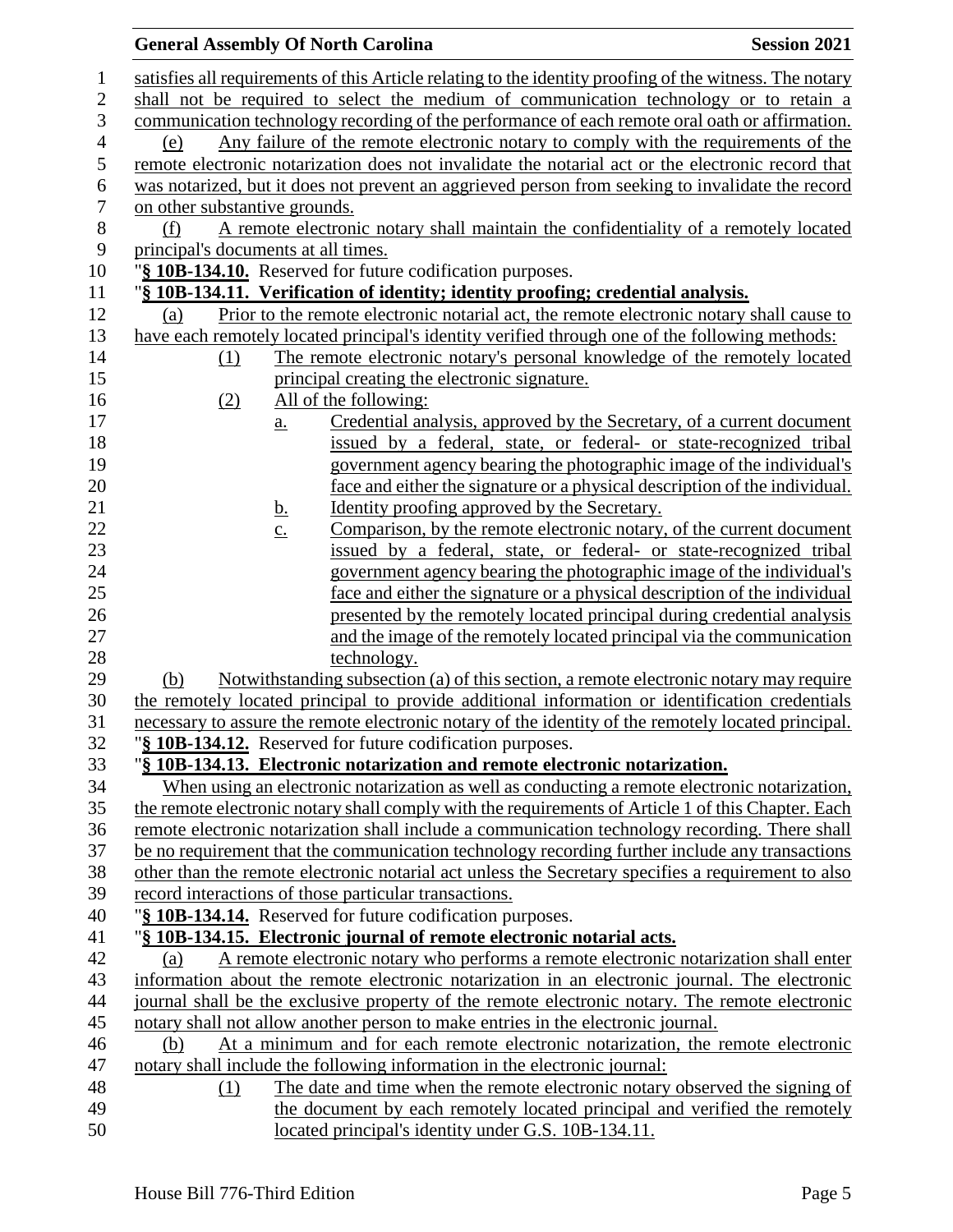# **General Assembly Of North Carolina Session 2021**

| $\mathbf{1}$     | satisfies all requirements of this Article relating to the identity proofing of the witness. The notary |
|------------------|---------------------------------------------------------------------------------------------------------|
| $\overline{2}$   | shall not be required to select the medium of communication technology or to retain a                   |
| 3                | communication technology recording of the performance of each remote oral oath or affirmation.          |
| $\overline{4}$   | Any failure of the remote electronic notary to comply with the requirements of the<br>(e)               |
| 5                | remote electronic notarization does not invalidate the notarial act or the electronic record that       |
| 6                | was notarized, but it does not prevent an aggrieved person from seeking to invalidate the record        |
| $\boldsymbol{7}$ | on other substantive grounds.                                                                           |
| $\,8\,$          | A remote electronic notary shall maintain the confidentiality of a remotely located<br>(f)              |
| 9                | principal's documents at all times.                                                                     |
| 10               | "§ 10B-134.10. Reserved for future codification purposes.                                               |
| 11               | "§ 10B-134.11. Verification of identity; identity proofing; credential analysis.                        |
| 12               | Prior to the remote electronic notarial act, the remote electronic notary shall cause to<br>(a)         |
| 13               | have each remotely located principal's identity verified through one of the following methods:          |
| 14               | The remote electronic notary's personal knowledge of the remotely located<br>$\Omega$                   |
| 15               | principal creating the electronic signature.                                                            |
| 16               | (2)<br>All of the following:                                                                            |
| 17               | Credential analysis, approved by the Secretary, of a current document<br>$\underline{a}$ .              |
| 18               | issued by a federal, state, or federal- or state-recognized tribal                                      |
| 19               | government agency bearing the photographic image of the individual's                                    |
| 20               | face and either the signature or a physical description of the individual.                              |
| 21               | Identity proofing approved by the Secretary.<br><u>b.</u>                                               |
| 22               | Comparison, by the remote electronic notary, of the current document<br>$\underline{c}$ .               |
| 23               | issued by a federal, state, or federal- or state-recognized tribal                                      |
| 24               | government agency bearing the photographic image of the individual's                                    |
| 25               | face and either the signature or a physical description of the individual                               |
| 26               | presented by the remotely located principal during credential analysis                                  |
| 27               | and the image of the remotely located principal via the communication                                   |
| 28               | technology.                                                                                             |
| 29               | Notwithstanding subsection (a) of this section, a remote electronic notary may require<br>(b)           |
| 30               | the remotely located principal to provide additional information or identification credentials          |
| 31               | necessary to assure the remote electronic notary of the identity of the remotely located principal.     |
| 32               | "§ 10B-134.12. Reserved for future codification purposes.                                               |
| 33               | "§ 10B-134.13. Electronic notarization and remote electronic notarization.                              |
| 34               | When using an electronic notarization as well as conducting a remote electronic notarization,           |
| 35               | the remote electronic notary shall comply with the requirements of Article 1 of this Chapter. Each      |
| 36               | remote electronic notarization shall include a communication technology recording. There shall          |
| 37               | be no requirement that the communication technology recording further include any transactions          |
| 38               | other than the remote electronic notarial act unless the Secretary specifies a requirement to also      |
| 39               | record interactions of those particular transactions.                                                   |
| 40               | "§ 10B-134.14. Reserved for future codification purposes.                                               |
| 41               | "§ 10B-134.15. Electronic journal of remote electronic notarial acts.                                   |
| 42               | A remote electronic notary who performs a remote electronic notarization shall enter<br>(a)             |
| 43               | information about the remote electronic notarization in an electronic journal. The electronic           |
| 44               | journal shall be the exclusive property of the remote electronic notary. The remote electronic          |
| 45               | notary shall not allow another person to make entries in the electronic journal.                        |
| 46               | At a minimum and for each remote electronic notarization, the remote electronic<br>(b)                  |
| 47               | notary shall include the following information in the electronic journal:                               |
| 48               | The date and time when the remote electronic notary observed the signing of<br>(1)                      |
| 49               | the document by each remotely located principal and verified the remotely                               |
| 50               | located principal's identity under G.S. 10B-134.11.                                                     |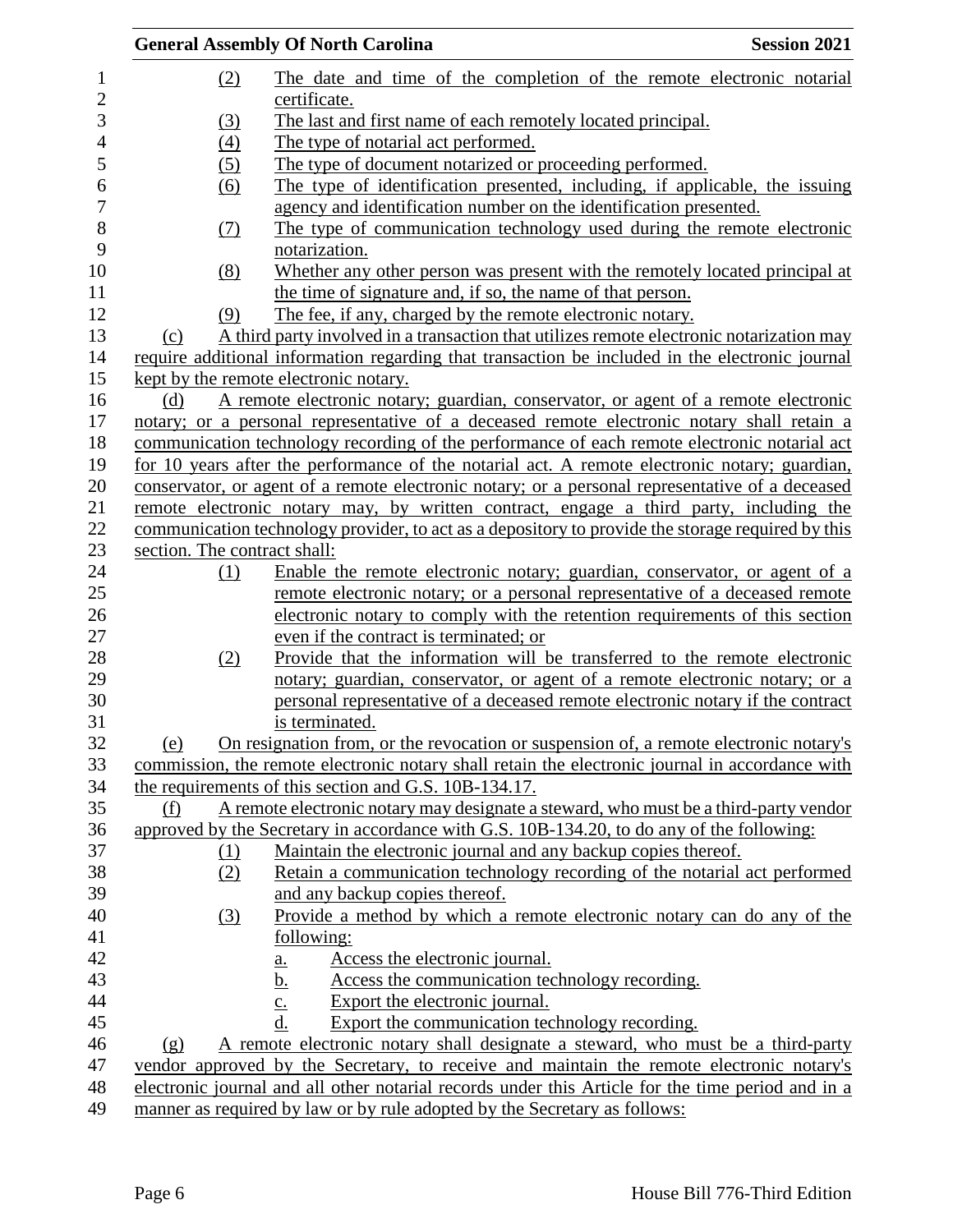|     | <b>General Assembly Of North Carolina</b>                                                         | <b>Session 2021</b> |
|-----|---------------------------------------------------------------------------------------------------|---------------------|
|     | (2)<br>The date and time of the completion of the remote electronic notarial<br>certificate.      |                     |
|     | The last and first name of each remotely located principal.<br>(3)                                |                     |
|     | (4)<br>The type of notarial act performed.                                                        |                     |
|     | The type of document notarized or proceeding performed.<br>(5)                                    |                     |
|     | The type of identification presented, including, if applicable, the issuing<br>(6)                |                     |
|     | agency and identification number on the identification presented.                                 |                     |
|     | The type of communication technology used during the remote electronic<br><u>(7)</u>              |                     |
|     | notarization.                                                                                     |                     |
|     | Whether any other person was present with the remotely located principal at<br>(8)                |                     |
|     | the time of signature and, if so, the name of that person.                                        |                     |
|     | The fee, if any, charged by the remote electronic notary.<br>(9)                                  |                     |
| (c) | A third party involved in a transaction that utilizes remote electronic notarization may          |                     |
|     | require additional information regarding that transaction be included in the electronic journal   |                     |
|     | kept by the remote electronic notary.                                                             |                     |
| (d) | A remote electronic notary; guardian, conservator, or agent of a remote electronic                |                     |
|     | notary; or a personal representative of a deceased remote electronic notary shall retain a        |                     |
|     | communication technology recording of the performance of each remote electronic notarial act      |                     |
|     | for 10 years after the performance of the notarial act. A remote electronic notary; guardian,     |                     |
|     | conservator, or agent of a remote electronic notary; or a personal representative of a deceased   |                     |
|     | remote electronic notary may, by written contract, engage a third party, including the            |                     |
|     | communication technology provider, to act as a depository to provide the storage required by this |                     |
|     | section. The contract shall:                                                                      |                     |
|     | Enable the remote electronic notary; guardian, conservator, or agent of a<br>(1)                  |                     |
|     | remote electronic notary; or a personal representative of a deceased remote                       |                     |
|     | electronic notary to comply with the retention requirements of this section                       |                     |
|     | even if the contract is terminated; or                                                            |                     |
|     | Provide that the information will be transferred to the remote electronic<br>(2)                  |                     |
|     | notary; guardian, conservator, or agent of a remote electronic notary; or a                       |                     |
|     | personal representative of a deceased remote electronic notary if the contract                    |                     |
|     | is terminated.                                                                                    |                     |
| (e) | On resignation from, or the revocation or suspension of, a remote electronic notary's             |                     |
|     | commission, the remote electronic notary shall retain the electronic journal in accordance with   |                     |
|     | the requirements of this section and G.S. 10B-134.17.                                             |                     |
| (f) | A remote electronic notary may designate a steward, who must be a third-party vendor              |                     |
|     | approved by the Secretary in accordance with G.S. 10B-134.20, to do any of the following:         |                     |
|     | Maintain the electronic journal and any backup copies thereof.<br><u>(1)</u>                      |                     |
|     | Retain a communication technology recording of the notarial act performed<br>(2)                  |                     |
|     | and any backup copies thereof.                                                                    |                     |
|     | Provide a method by which a remote electronic notary can do any of the<br>(3)                     |                     |
|     | following:                                                                                        |                     |
|     | Access the electronic journal.<br>$\underline{\mathbf{a}}$ .                                      |                     |
|     | $\frac{b}{c}$<br>Access the communication technology recording.                                   |                     |
|     | Export the electronic journal.                                                                    |                     |
|     | d.<br>Export the communication technology recording.                                              |                     |
| (g) | A remote electronic notary shall designate a steward, who must be a third-party                   |                     |
|     | vendor approved by the Secretary, to receive and maintain the remote electronic notary's          |                     |
|     | electronic journal and all other notarial records under this Article for the time period and in a |                     |
|     | manner as required by law or by rule adopted by the Secretary as follows:                         |                     |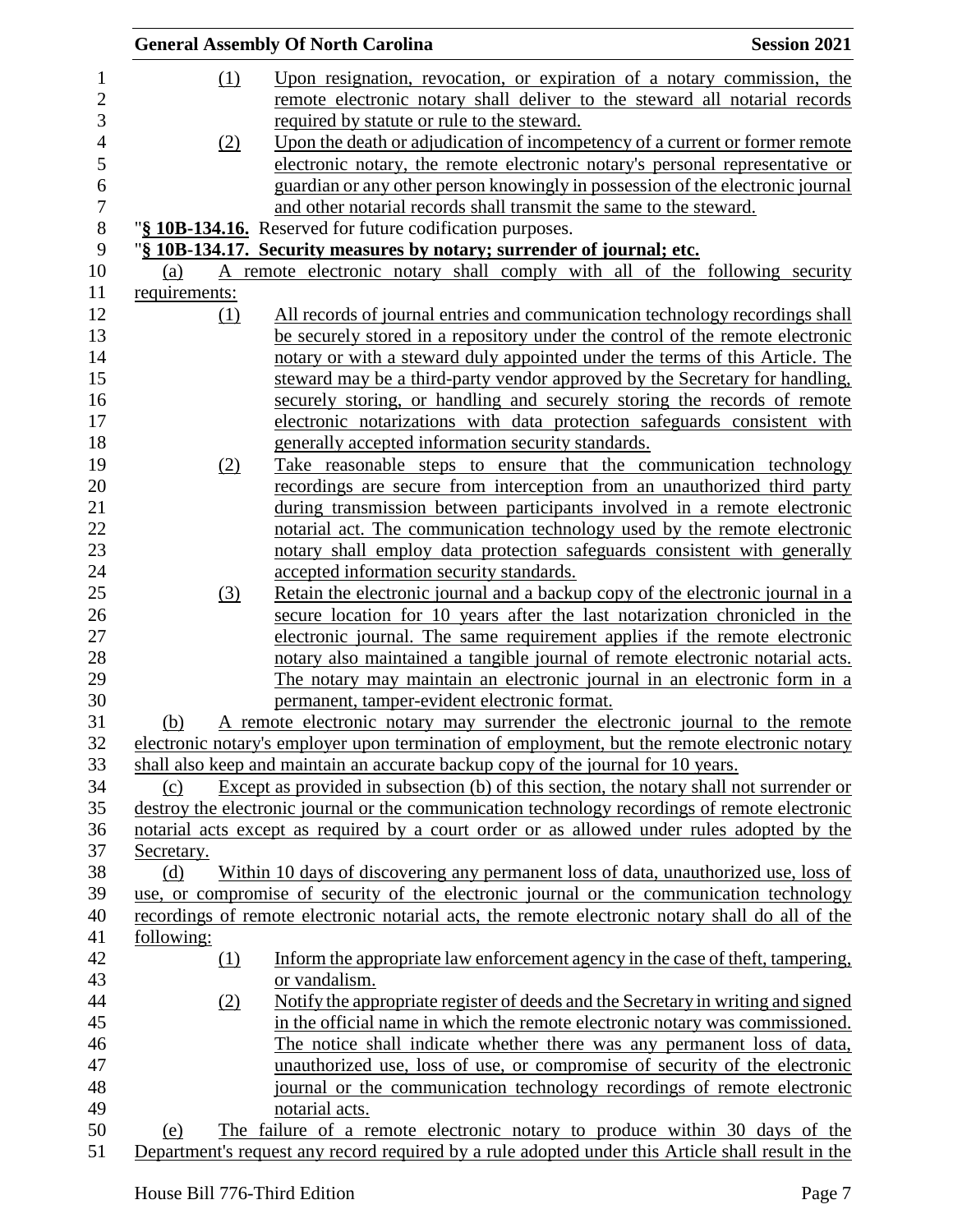|               | <b>General Assembly Of North Carolina</b>                                                                                                                                          | <b>Session 2021</b> |
|---------------|------------------------------------------------------------------------------------------------------------------------------------------------------------------------------------|---------------------|
| (1)           | Upon resignation, revocation, or expiration of a notary commission, the                                                                                                            |                     |
|               | remote electronic notary shall deliver to the steward all notarial records                                                                                                         |                     |
|               | required by statute or rule to the steward.                                                                                                                                        |                     |
| (2)           | Upon the death or adjudication of incompetency of a current or former remote                                                                                                       |                     |
|               | electronic notary, the remote electronic notary's personal representative or                                                                                                       |                     |
|               | guardian or any other person knowingly in possession of the electronic journal                                                                                                     |                     |
|               | and other notarial records shall transmit the same to the steward.                                                                                                                 |                     |
|               | "§ 10B-134.16. Reserved for future codification purposes.                                                                                                                          |                     |
|               | "§ 10B-134.17. Security measures by notary; surrender of journal; etc.                                                                                                             |                     |
| (a)           | A remote electronic notary shall comply with all of the following security                                                                                                         |                     |
| requirements: |                                                                                                                                                                                    |                     |
| (1)           | All records of journal entries and communication technology recordings shall                                                                                                       |                     |
|               | be securely stored in a repository under the control of the remote electronic                                                                                                      |                     |
|               | notary or with a steward duly appointed under the terms of this Article. The                                                                                                       |                     |
|               | steward may be a third-party vendor approved by the Secretary for handling,                                                                                                        |                     |
|               | securely storing, or handling and securely storing the records of remote                                                                                                           |                     |
|               | electronic notarizations with data protection safeguards consistent with                                                                                                           |                     |
|               | generally accepted information security standards.                                                                                                                                 |                     |
| (2)           | Take reasonable steps to ensure that the communication technology                                                                                                                  |                     |
|               | recordings are secure from interception from an unauthorized third party                                                                                                           |                     |
|               | during transmission between participants involved in a remote electronic                                                                                                           |                     |
|               | notarial act. The communication technology used by the remote electronic                                                                                                           |                     |
|               | notary shall employ data protection safeguards consistent with generally                                                                                                           |                     |
|               | accepted information security standards.                                                                                                                                           |                     |
| (3)           | Retain the electronic journal and a backup copy of the electronic journal in a                                                                                                     |                     |
|               | secure location for 10 years after the last notarization chronicled in the                                                                                                         |                     |
|               | electronic journal. The same requirement applies if the remote electronic                                                                                                          |                     |
|               | notary also maintained a tangible journal of remote electronic notarial acts.                                                                                                      |                     |
|               | The notary may maintain an electronic journal in an electronic form in a                                                                                                           |                     |
|               | permanent, tamper-evident electronic format.                                                                                                                                       |                     |
| (b)           | A remote electronic notary may surrender the electronic journal to the remote                                                                                                      |                     |
|               | electronic notary's employer upon termination of employment, but the remote electronic notary<br>shall also keep and maintain an accurate backup copy of the journal for 10 years. |                     |
| (c)           | Except as provided in subsection (b) of this section, the notary shall not surrender or                                                                                            |                     |
|               | destroy the electronic journal or the communication technology recordings of remote electronic                                                                                     |                     |
|               | notarial acts except as required by a court order or as allowed under rules adopted by the                                                                                         |                     |
| Secretary.    |                                                                                                                                                                                    |                     |
| (d)           | Within 10 days of discovering any permanent loss of data, unauthorized use, loss of                                                                                                |                     |
|               | use, or compromise of security of the electronic journal or the communication technology                                                                                           |                     |
|               | recordings of remote electronic notarial acts, the remote electronic notary shall do all of the                                                                                    |                     |
| following:    |                                                                                                                                                                                    |                     |
| (1)           | Inform the appropriate law enforcement agency in the case of theft, tampering,                                                                                                     |                     |
|               | or vandalism.                                                                                                                                                                      |                     |
| (2)           | Notify the appropriate register of deeds and the Secretary in writing and signed                                                                                                   |                     |
|               | in the official name in which the remote electronic notary was commissioned.                                                                                                       |                     |
|               | The notice shall indicate whether there was any permanent loss of data,                                                                                                            |                     |
|               | unauthorized use, loss of use, or compromise of security of the electronic                                                                                                         |                     |
|               | journal or the communication technology recordings of remote electronic                                                                                                            |                     |
|               | notarial acts.                                                                                                                                                                     |                     |
| (e)           | The failure of a remote electronic notary to produce within 30 days of the                                                                                                         |                     |
|               | Department's request any record required by a rule adopted under this Article shall result in the                                                                                  |                     |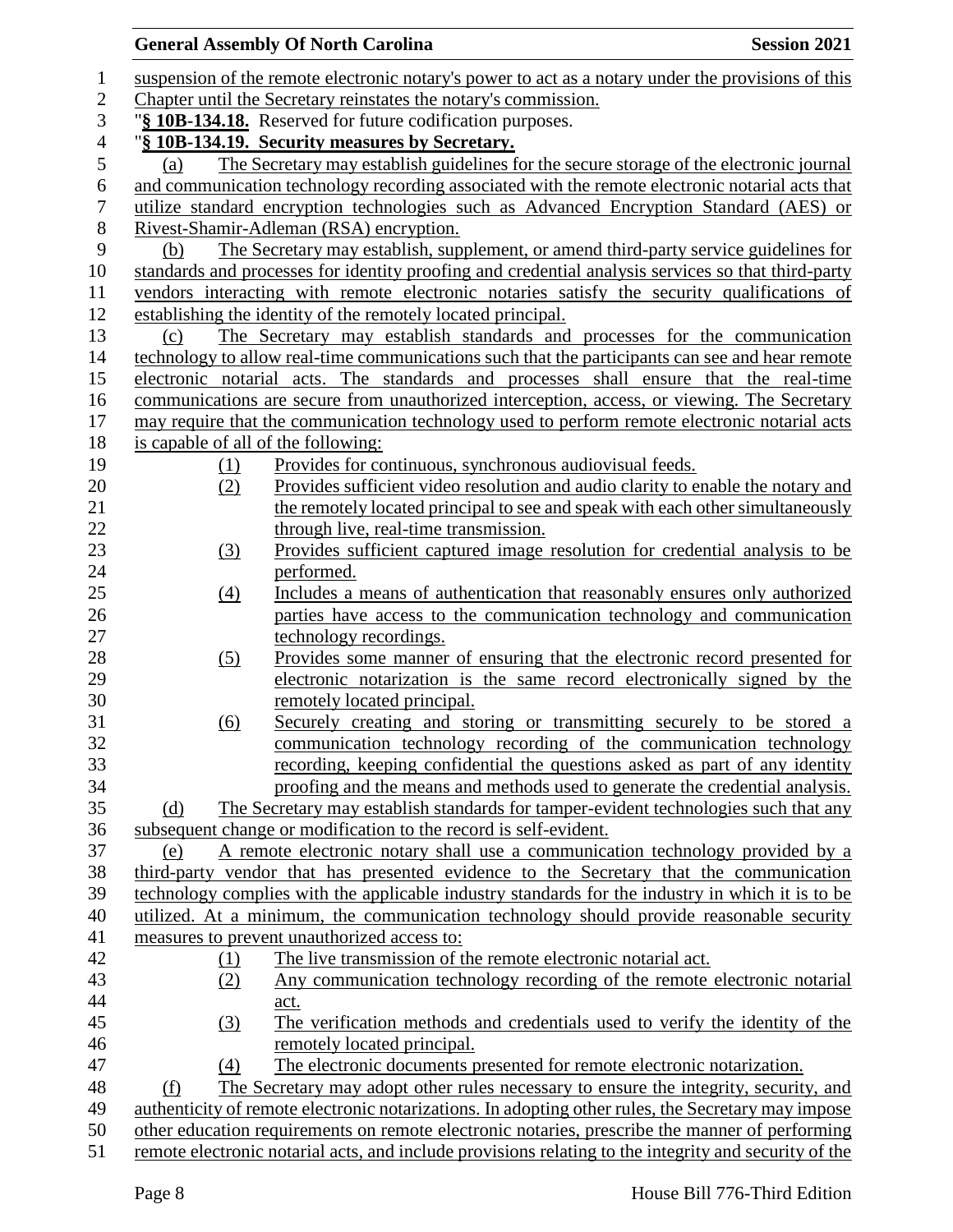### **General Assembly Of North Carolina Session 2021**  suspension of the remote electronic notary's power to act as a notary under the provisions of this Chapter until the Secretary reinstates the notary's commission. "**§ 10B-134.18.** Reserved for future codification purposes. "**§ 10B-134.19. Security measures by Secretary.** (a) The Secretary may establish guidelines for the secure storage of the electronic journal and communication technology recording associated with the remote electronic notarial acts that utilize standard encryption technologies such as Advanced Encryption Standard (AES) or Rivest-Shamir-Adleman (RSA) encryption. (b) The Secretary may establish, supplement, or amend third-party service guidelines for standards and processes for identity proofing and credential analysis services so that third-party vendors interacting with remote electronic notaries satisfy the security qualifications of establishing the identity of the remotely located principal. (c) The Secretary may establish standards and processes for the communication technology to allow real-time communications such that the participants can see and hear remote electronic notarial acts. The standards and processes shall ensure that the real-time communications are secure from unauthorized interception, access, or viewing. The Secretary may require that the communication technology used to perform remote electronic notarial acts is capable of all of the following: (1) Provides for continuous, synchronous audiovisual feeds. (2) Provides sufficient video resolution and audio clarity to enable the notary and the remotely located principal to see and speak with each other simultaneously 22 through live, real-time transmission. (3) Provides sufficient captured image resolution for credential analysis to be performed. (4) Includes a means of authentication that reasonably ensures only authorized parties have access to the communication technology and communication 27 technology recordings. (5) Provides some manner of ensuring that the electronic record presented for electronic notarization is the same record electronically signed by the remotely located principal. (6) Securely creating and storing or transmitting securely to be stored a communication technology recording of the communication technology recording, keeping confidential the questions asked as part of any identity proofing and the means and methods used to generate the credential analysis. (d) The Secretary may establish standards for tamper-evident technologies such that any subsequent change or modification to the record is self-evident. (e) A remote electronic notary shall use a communication technology provided by a third-party vendor that has presented evidence to the Secretary that the communication technology complies with the applicable industry standards for the industry in which it is to be utilized. At a minimum, the communication technology should provide reasonable security measures to prevent unauthorized access to: (1) The live transmission of the remote electronic notarial act. (2) Any communication technology recording of the remote electronic notarial act. (3) The verification methods and credentials used to verify the identity of the remotely located principal. (4) The electronic documents presented for remote electronic notarization. (f) The Secretary may adopt other rules necessary to ensure the integrity, security, and authenticity of remote electronic notarizations. In adopting other rules, the Secretary may impose other education requirements on remote electronic notaries, prescribe the manner of performing remote electronic notarial acts, and include provisions relating to the integrity and security of the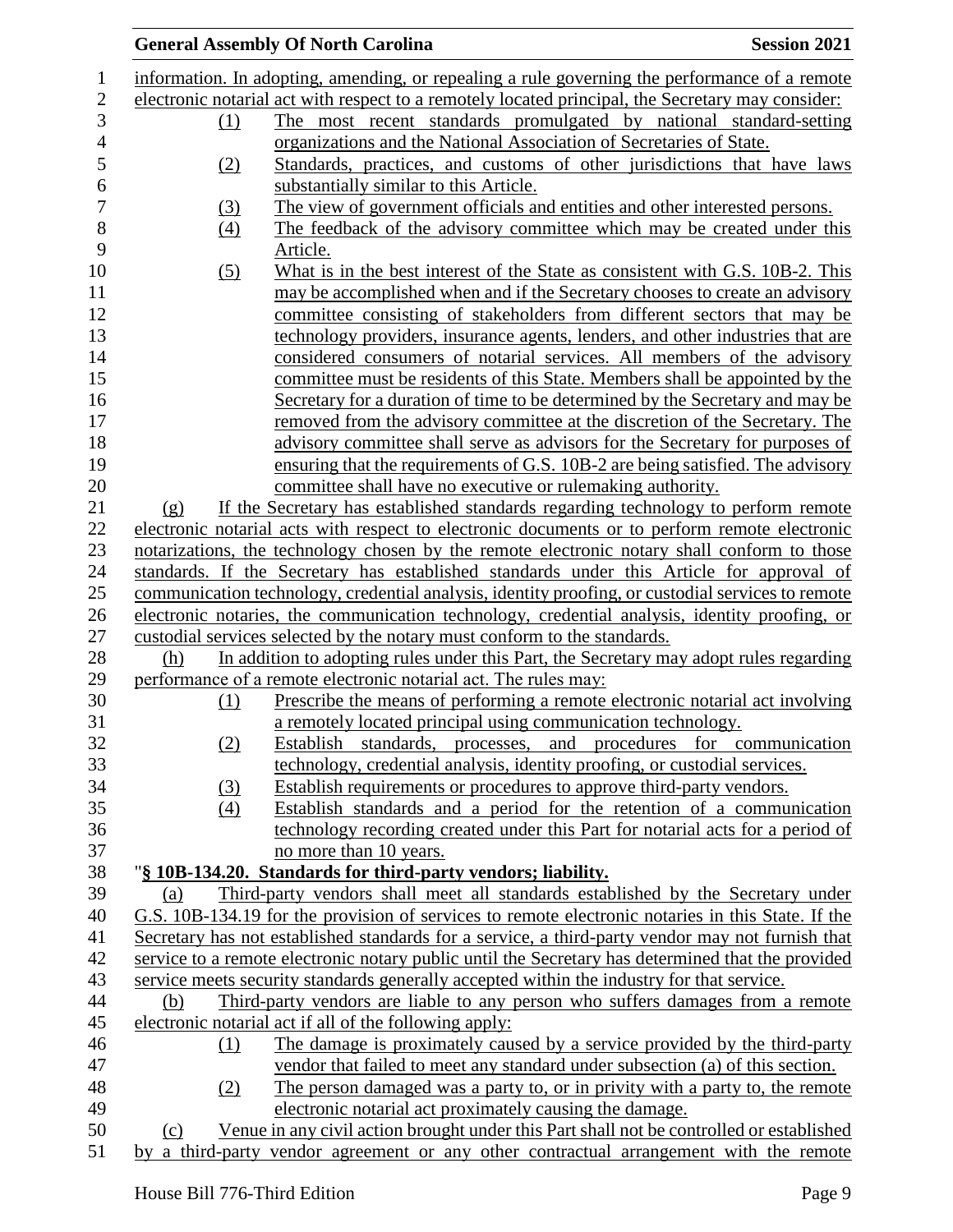|                  | <b>General Assembly Of North Carolina</b>                                                         | <b>Session 2021</b> |
|------------------|---------------------------------------------------------------------------------------------------|---------------------|
|                  | information. In adopting, amending, or repealing a rule governing the performance of a remote     |                     |
|                  | electronic notarial act with respect to a remotely located principal, the Secretary may consider: |                     |
| (1)              | The most recent standards promulgated by national standard-setting                                |                     |
|                  | organizations and the National Association of Secretaries of State.                               |                     |
| (2)              | Standards, practices, and customs of other jurisdictions that have laws                           |                     |
|                  | substantially similar to this Article.                                                            |                     |
| (3)              | The view of government officials and entities and other interested persons.                       |                     |
| $\left(4\right)$ | The feedback of the advisory committee which may be created under this                            |                     |
|                  | Article.                                                                                          |                     |
| (5)              | What is in the best interest of the State as consistent with G.S. 10B-2. This                     |                     |
|                  | may be accomplished when and if the Secretary chooses to create an advisory                       |                     |
|                  | committee consisting of stakeholders from different sectors that may be                           |                     |
|                  | technology providers, insurance agents, lenders, and other industries that are                    |                     |
|                  | considered consumers of notarial services. All members of the advisory                            |                     |
|                  | committee must be residents of this State. Members shall be appointed by the                      |                     |
|                  | Secretary for a duration of time to be determined by the Secretary and may be                     |                     |
|                  | removed from the advisory committee at the discretion of the Secretary. The                       |                     |
|                  | advisory committee shall serve as advisors for the Secretary for purposes of                      |                     |
|                  | ensuring that the requirements of G.S. 10B-2 are being satisfied. The advisory                    |                     |
|                  | committee shall have no executive or rulemaking authority.                                        |                     |
| (g)              | If the Secretary has established standards regarding technology to perform remote                 |                     |
|                  | electronic notarial acts with respect to electronic documents or to perform remote electronic     |                     |
|                  | notarizations, the technology chosen by the remote electronic notary shall conform to those       |                     |
|                  | standards. If the Secretary has established standards under this Article for approval of          |                     |
|                  | communication technology, credential analysis, identity proofing, or custodial services to remote |                     |
|                  | electronic notaries, the communication technology, credential analysis, identity proofing, or     |                     |
|                  | custodial services selected by the notary must conform to the standards.                          |                     |
| (h)              | In addition to adopting rules under this Part, the Secretary may adopt rules regarding            |                     |
|                  | performance of a remote electronic notarial act. The rules may:                                   |                     |
| (1)              | Prescribe the means of performing a remote electronic notarial act involving                      |                     |
|                  | a remotely located principal using communication technology.                                      |                     |
| (2)              | Establish standards, processes, and procedures for communication                                  |                     |
|                  | technology, credential analysis, identity proofing, or custodial services.                        |                     |
| (3)              | <b>Establish requirements or procedures to approve third-party vendors.</b>                       |                     |
| (4)              | Establish standards and a period for the retention of a communication                             |                     |
|                  | technology recording created under this Part for notarial acts for a period of                    |                     |
|                  | no more than 10 years.                                                                            |                     |
|                  | "§ 10B-134.20. Standards for third-party vendors; liability.                                      |                     |
| (a)              | Third-party vendors shall meet all standards established by the Secretary under                   |                     |
|                  | G.S. 10B-134.19 for the provision of services to remote electronic notaries in this State. If the |                     |
|                  | Secretary has not established standards for a service, a third-party vendor may not furnish that  |                     |
|                  | service to a remote electronic notary public until the Secretary has determined that the provided |                     |
|                  | service meets security standards generally accepted within the industry for that service.         |                     |
| (b)              | Third-party vendors are liable to any person who suffers damages from a remote                    |                     |
|                  | electronic notarial act if all of the following apply:                                            |                     |
| (1)              | The damage is proximately caused by a service provided by the third-party                         |                     |
|                  | vendor that failed to meet any standard under subsection (a) of this section.                     |                     |
| (2)              | The person damaged was a party to, or in privity with a party to, the remote                      |                     |
|                  | electronic notarial act proximately causing the damage.                                           |                     |
| (c)              | Venue in any civil action brought under this Part shall not be controlled or established          |                     |
|                  | by a third-party vendor agreement or any other contractual arrangement with the remote            |                     |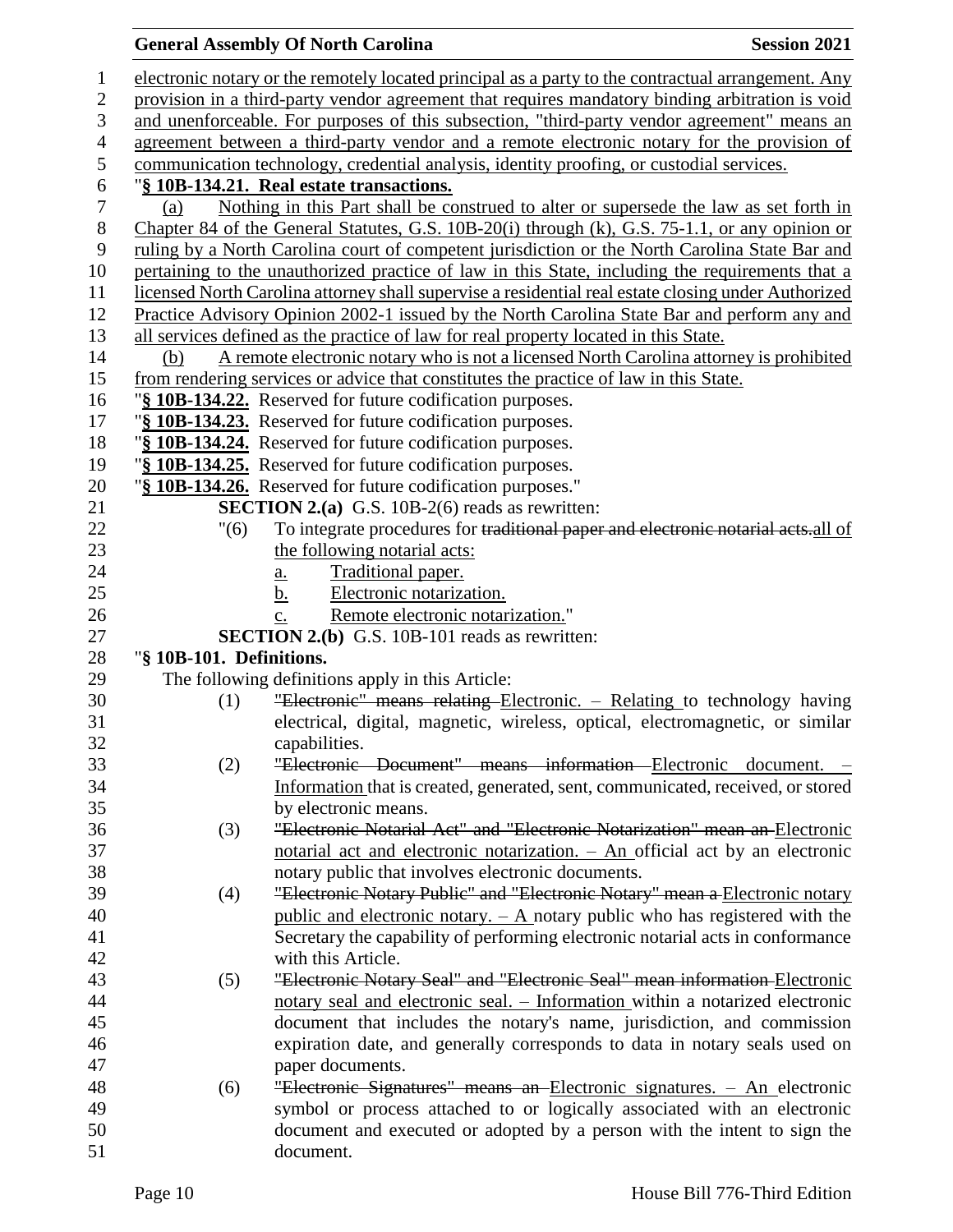### **General Assembly Of North Carolina Session 2021**  electronic notary or the remotely located principal as a party to the contractual arrangement. Any provision in a third-party vendor agreement that requires mandatory binding arbitration is void and unenforceable. For purposes of this subsection, "third-party vendor agreement" means an agreement between a third-party vendor and a remote electronic notary for the provision of communication technology, credential analysis, identity proofing, or custodial services. "**§ 10B-134.21. Real estate transactions.** (a) Nothing in this Part shall be construed to alter or supersede the law as set forth in Chapter 84 of the General Statutes, G.S. 10B-20(i) through (k), G.S. 75-1.1, or any opinion or ruling by a North Carolina court of competent jurisdiction or the North Carolina State Bar and 10 pertaining to the unauthorized practice of law in this State, including the requirements that a licensed North Carolina attorney shall supervise a residential real estate closing under Authorized Practice Advisory Opinion 2002-1 issued by the North Carolina State Bar and perform any and all services defined as the practice of law for real property located in this State. (b) A remote electronic notary who is not a licensed North Carolina attorney is prohibited from rendering services or advice that constitutes the practice of law in this State. "**§ 10B-134.22.** Reserved for future codification purposes. "**§ 10B-134.23.** Reserved for future codification purposes. "**§ 10B-134.24.** Reserved for future codification purposes. "**§ 10B-134.25.** Reserved for future codification purposes. "**§ 10B-134.26.** Reserved for future codification purposes." **SECTION 2.(a)** G.S. 10B-2(6) reads as rewritten: "(6) To integrate procedures for traditional paper and electronic notarial acts.all of 23 the following notarial acts: a. Traditional paper. b. Electronic notarization. c. Remote electronic notarization." **SECTION 2.(b)** G.S. 10B-101 reads as rewritten: "**§ 10B-101. Definitions.** The following definitions apply in this Article: (1) "Electronic" means relating Electronic. – Relating to technology having electrical, digital, magnetic, wireless, optical, electromagnetic, or similar capabilities. (2) "Electronic Document" means information Electronic document. – Information that is created, generated, sent, communicated, received, or stored by electronic means. (3) "Electronic Notarial Act" and "Electronic Notarization" mean an Electronic notarial act and electronic notarization. – An official act by an electronic notary public that involves electronic documents. (4) "Electronic Notary Public" and "Electronic Notary" mean a Electronic notary public and electronic notary. – A notary public who has registered with the Secretary the capability of performing electronic notarial acts in conformance with this Article. (5) "Electronic Notary Seal" and "Electronic Seal" mean information Electronic notary seal and electronic seal. – Information within a notarized electronic document that includes the notary's name, jurisdiction, and commission expiration date, and generally corresponds to data in notary seals used on paper documents. (6) "Electronic Signatures" means an Electronic signatures. – An electronic symbol or process attached to or logically associated with an electronic document and executed or adopted by a person with the intent to sign the document.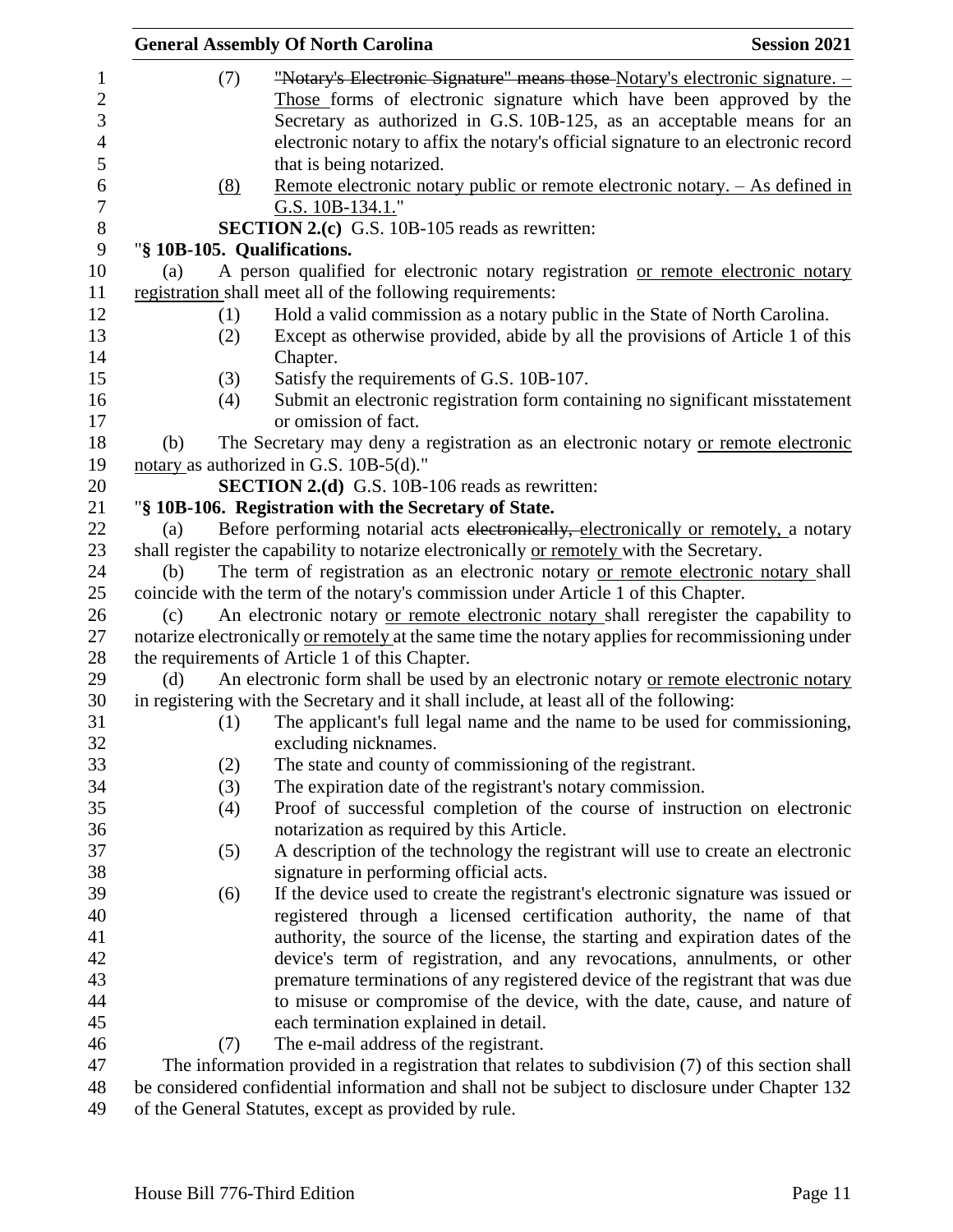|     |     | <b>General Assembly Of North Carolina</b>                                                                                                                  | <b>Session 2021</b> |
|-----|-----|------------------------------------------------------------------------------------------------------------------------------------------------------------|---------------------|
|     | (7) | "Notary's Electronic Signature" means those Notary's electronic signature. -                                                                               |                     |
|     |     | Those forms of electronic signature which have been approved by the                                                                                        |                     |
|     |     | Secretary as authorized in G.S. 10B-125, as an acceptable means for an                                                                                     |                     |
|     |     | electronic notary to affix the notary's official signature to an electronic record                                                                         |                     |
|     |     | that is being notarized.                                                                                                                                   |                     |
|     | (8) | <u>Remote electronic notary public or remote electronic notary. – As defined in</u>                                                                        |                     |
|     |     | G.S. 10B-134.1."                                                                                                                                           |                     |
|     |     | <b>SECTION 2.(c)</b> G.S. 10B-105 reads as rewritten:                                                                                                      |                     |
|     |     | "§ 10B-105. Qualifications.                                                                                                                                |                     |
| (a) |     | A person qualified for electronic notary registration or remote electronic notary                                                                          |                     |
|     |     | registration shall meet all of the following requirements:                                                                                                 |                     |
|     | (1) | Hold a valid commission as a notary public in the State of North Carolina.                                                                                 |                     |
|     | (2) | Except as otherwise provided, abide by all the provisions of Article 1 of this                                                                             |                     |
|     |     | Chapter.                                                                                                                                                   |                     |
|     | (3) | Satisfy the requirements of G.S. 10B-107.                                                                                                                  |                     |
|     | (4) | Submit an electronic registration form containing no significant misstatement                                                                              |                     |
|     |     | or omission of fact.                                                                                                                                       |                     |
| (b) |     | The Secretary may deny a registration as an electronic notary or remote electronic                                                                         |                     |
|     |     | notary as authorized in G.S. 10B-5(d)."                                                                                                                    |                     |
|     |     | <b>SECTION 2.(d)</b> G.S. 10B-106 reads as rewritten:                                                                                                      |                     |
|     |     | "§ 10B-106. Registration with the Secretary of State.                                                                                                      |                     |
| (a) |     | Before performing notarial acts electronically, electronically or remotely, a notary                                                                       |                     |
|     |     | shall register the capability to notarize electronically or remotely with the Secretary.                                                                   |                     |
| (b) |     | The term of registration as an electronic notary or remote electronic notary shall                                                                         |                     |
|     |     | coincide with the term of the notary's commission under Article 1 of this Chapter.                                                                         |                     |
| (c) |     | An electronic notary or remote electronic notary shall reregister the capability to                                                                        |                     |
|     |     | notarize electronically or remotely at the same time the notary applies for recommissioning under                                                          |                     |
|     |     | the requirements of Article 1 of this Chapter.                                                                                                             |                     |
| (d) |     | An electronic form shall be used by an electronic notary or remote electronic notary                                                                       |                     |
|     |     | in registering with the Secretary and it shall include, at least all of the following:                                                                     |                     |
|     | (1) | The applicant's full legal name and the name to be used for commissioning,                                                                                 |                     |
|     |     | excluding nicknames.                                                                                                                                       |                     |
|     | (2) | The state and county of commissioning of the registrant.                                                                                                   |                     |
|     | (3) | The expiration date of the registrant's notary commission.                                                                                                 |                     |
|     | (4) | Proof of successful completion of the course of instruction on electronic                                                                                  |                     |
|     |     | notarization as required by this Article.                                                                                                                  |                     |
|     | (5) | A description of the technology the registrant will use to create an electronic<br>signature in performing official acts.                                  |                     |
|     |     |                                                                                                                                                            |                     |
|     | (6) | If the device used to create the registrant's electronic signature was issued or                                                                           |                     |
|     |     | registered through a licensed certification authority, the name of that                                                                                    |                     |
|     |     | authority, the source of the license, the starting and expiration dates of the                                                                             |                     |
|     |     | device's term of registration, and any revocations, annulments, or other<br>premature terminations of any registered device of the registrant that was due |                     |
|     |     | to misuse or compromise of the device, with the date, cause, and nature of                                                                                 |                     |
|     |     | each termination explained in detail.                                                                                                                      |                     |
|     | (7) | The e-mail address of the registrant.                                                                                                                      |                     |
|     |     | The information provided in a registration that relates to subdivision (7) of this section shall                                                           |                     |
|     |     | be considered confidential information and shall not be subject to disclosure under Chapter 132                                                            |                     |
|     |     |                                                                                                                                                            |                     |

of the General Statutes, except as provided by rule.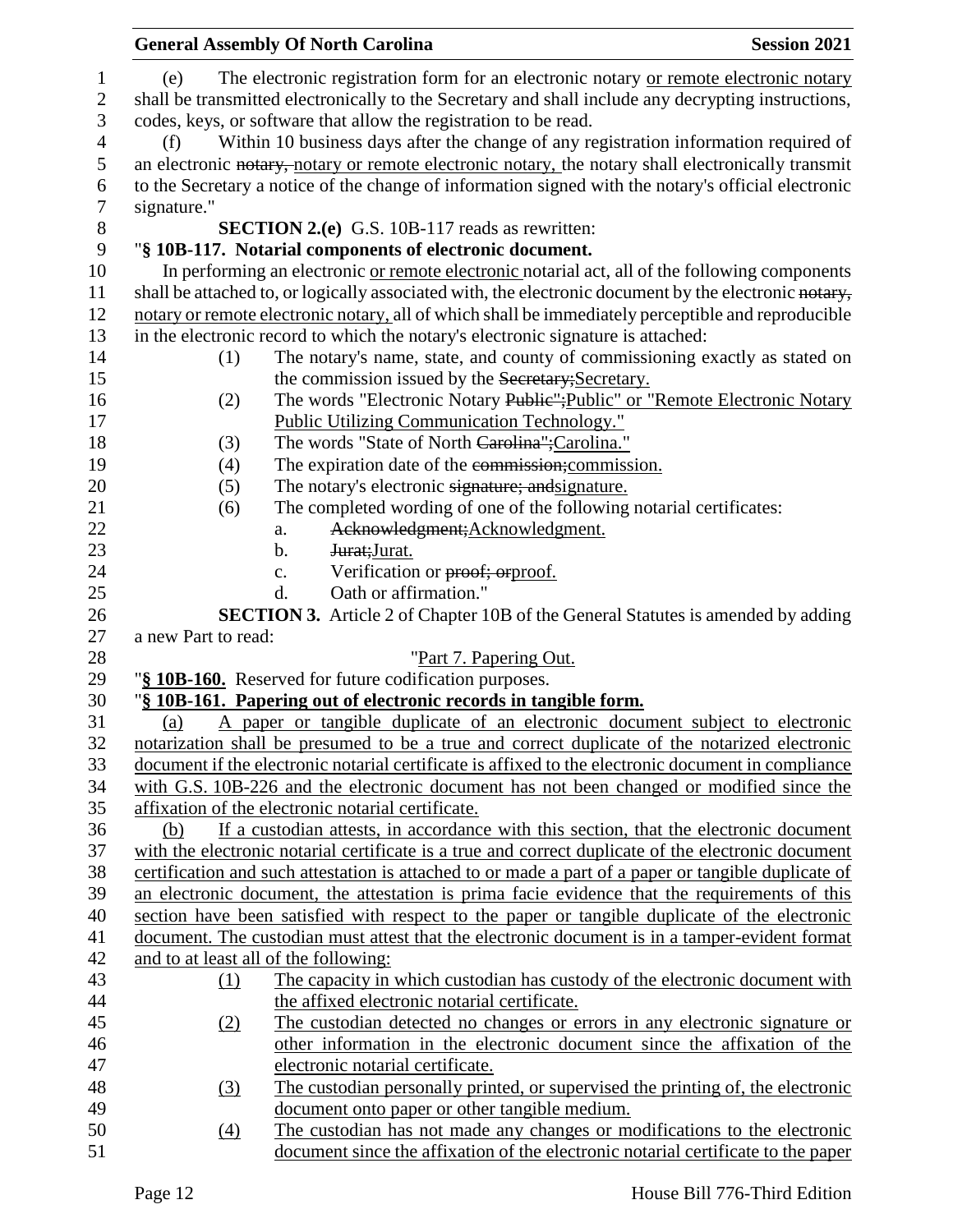|                  | <b>General Assembly Of North Carolina</b><br><b>Session 2021</b>                                      |  |
|------------------|-------------------------------------------------------------------------------------------------------|--|
| 1                | The electronic registration form for an electronic notary or remote electronic notary<br>(e)          |  |
| $\mathbf{2}$     | shall be transmitted electronically to the Secretary and shall include any decrypting instructions,   |  |
| 3                | codes, keys, or software that allow the registration to be read.                                      |  |
| $\overline{4}$   | Within 10 business days after the change of any registration information required of<br>(f)           |  |
| 5                | an electronic notary, notary or remote electronic notary, the notary shall electronically transmit    |  |
| 6                | to the Secretary a notice of the change of information signed with the notary's official electronic   |  |
| $\tau$           | signature."                                                                                           |  |
| $8\,$            | <b>SECTION 2.(e)</b> G.S. 10B-117 reads as rewritten:                                                 |  |
| $\boldsymbol{9}$ | "§ 10B-117. Notarial components of electronic document.                                               |  |
| 10               | In performing an electronic or remote electronic notarial act, all of the following components        |  |
| 11               | shall be attached to, or logically associated with, the electronic document by the electronic notary, |  |
| 12               | notary or remote electronic notary, all of which shall be immediately perceptible and reproducible    |  |
| 13               | in the electronic record to which the notary's electronic signature is attached:                      |  |
| 14               | The notary's name, state, and county of commissioning exactly as stated on<br>(1)                     |  |
| 15               | the commission issued by the Secretary; Secretary.                                                    |  |
| 16               | The words "Electronic Notary Publie"; Public" or "Remote Electronic Notary<br>(2)                     |  |
| 17               | <b>Public Utilizing Communication Technology."</b>                                                    |  |
| 18               | The words "State of North Carolina"; Carolina."<br>(3)                                                |  |
| 19               | The expiration date of the commission; commission.<br>(4)                                             |  |
| 20               | The notary's electronic signature; and signature.<br>(5)                                              |  |
| 21               | The completed wording of one of the following notarial certificates:<br>(6)                           |  |
| 22               | Acknowledgment; Acknowledgment.<br>a.                                                                 |  |
| 23               | Jurat; Jurat.<br>b.                                                                                   |  |
| 24               | Verification or proof; orproof.<br>c.                                                                 |  |
| 25               | Oath or affirmation."<br>d.                                                                           |  |
| 26               | <b>SECTION 3.</b> Article 2 of Chapter 10B of the General Statutes is amended by adding               |  |
| 27               | a new Part to read:                                                                                   |  |
| 28               | "Part 7. Papering Out.                                                                                |  |
| 29               | "§ 10B-160. Reserved for future codification purposes.                                                |  |
| 30               | "§ 10B-161. Papering out of electronic records in tangible form.                                      |  |
| 31               | A paper or tangible duplicate of an electronic document subject to electronic<br><u>(a)</u>           |  |
| 32               | notarization shall be presumed to be a true and correct duplicate of the notarized electronic         |  |
| 33               | document if the electronic notarial certificate is affixed to the electronic document in compliance   |  |
| 34               | with G.S. 10B-226 and the electronic document has not been changed or modified since the              |  |
| 35               | affixation of the electronic notarial certificate.                                                    |  |
| 36               | If a custodian attests, in accordance with this section, that the electronic document<br>(b)          |  |
| 37               | with the electronic notarial certificate is a true and correct duplicate of the electronic document   |  |
| 38               | certification and such attestation is attached to or made a part of a paper or tangible duplicate of  |  |
| 39               | an electronic document, the attestation is prima facie evidence that the requirements of this         |  |
| 40               | section have been satisfied with respect to the paper or tangible duplicate of the electronic         |  |
| 41               | document. The custodian must attest that the electronic document is in a tamper-evident format        |  |
| 42               | and to at least all of the following:                                                                 |  |
| 43               | The capacity in which custodian has custody of the electronic document with<br>(1)                    |  |
| 44               | the affixed electronic notarial certificate.                                                          |  |
| 45               | The custodian detected no changes or errors in any electronic signature or<br>(2)                     |  |
| 46               | other information in the electronic document since the affixation of the                              |  |
| 47               | electronic notarial certificate.                                                                      |  |
| 48               | The custodian personally printed, or supervised the printing of, the electronic<br>(3)                |  |
| 49               | document onto paper or other tangible medium.                                                         |  |
| 50               | The custodian has not made any changes or modifications to the electronic<br>$\left(4\right)$         |  |
| 51               | document since the affixation of the electronic notarial certificate to the paper                     |  |